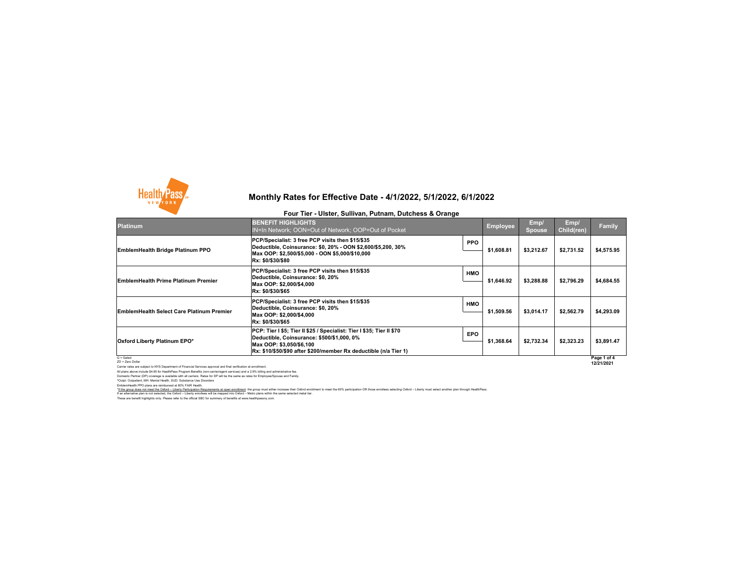ZD = Zero Dollar

Carrier rates are subject to NYS Department of Financial Services approval and final verification at enrollment.

All plans above include \$4.95 for HealthPass Program Benefits (non-carrier/agent services) and a 2.9% billing and administrative fee. Domestic Partner (DP) coverage is available with all carriers. Rates for DP will be the same as rates for Employee/Spouse and Family. ^Outpt: Outpatient, MH: Mental Health, SUD: Substance Use Disorders

EmblemHealth PPO plans are reimbursed at 80% FAIR Health.

**Page 1 of 4 12/21/2021**



# **Monthly Rates for Effective Date - 4/1/2022, 5/1/2022, 6/1/2022**

#### **Four Tier - Ulster, Sullivan, Putnam, Dutchess & Orange**

\*If the group does not meet the Oxford – Liberty Participation Requirements at open enrollment: the group must either increase their Oxford enrollment to meet the 60% participation OR those enrollees selecting Oxford – Lib

These are benefit highlights only. Please refer to the official SBC for summary of benefits at www.healthpassny.com. If an alternative plan is not selected, the Oxford – Liberty enrollees will be mapped into Oxford – Metro plans within the same selected metal tier.

| <b>Platinum</b>                                  | <b>BENEFIT HIGHLIGHTS</b><br>IN=In Network; OON=Out of Network; OOP=Out of Pocket                                                                                                                                   |            | <b>Employee</b> | Emp/<br><b>Spouse</b> | Emp/<br><b>Child(ren)</b> | <b>Family</b> |
|--------------------------------------------------|---------------------------------------------------------------------------------------------------------------------------------------------------------------------------------------------------------------------|------------|-----------------|-----------------------|---------------------------|---------------|
| <b>EmblemHealth Bridge Platinum PPO</b>          | PCP/Specialist: 3 free PCP visits then \$15/\$35<br>Deductible, Coinsurance: \$0, 20% - OON \$2,600/\$5,200, 30%<br>Max OOP: \$2,500/\$5,000 - OON \$5,000/\$10,000<br>Rx: \$0/\$30/\$80                            | <b>PPO</b> | \$1,608.81      | \$3,212.67            | \$2,731.52                | \$4,575.95    |
| <b>EmblemHealth Prime Platinum Premier</b>       | PCP/Specialist: 3 free PCP visits then \$15/\$35<br>Deductible, Coinsurance: \$0, 20%<br>Max OOP: \$2,000/\$4,000<br>Rx: \$0/\$30/\$65                                                                              | <b>HMO</b> | \$1,646.92      | \$3,288.88            | \$2,796.29                | \$4,684.55    |
| <b>EmblemHealth Select Care Platinum Premier</b> | PCP/Specialist: 3 free PCP visits then \$15/\$35<br>Deductible, Coinsurance: \$0, 20%<br>Max OOP: \$2,000/\$4,000<br>Rx: \$0/\$30/\$65                                                                              | <b>HMO</b> | \$1,509.56      | \$3,014.17            | \$2,562.79                | \$4,293.09    |
| <b>Oxford Liberty Platinum EPO*</b>              | PCP: Tier I \$5; Tier II \$25 / Specialist: Tier I \$35; Tier II \$70<br>Deductible, Coinsurance: \$500/\$1,000, 0%<br>Max OOP: \$3,050/\$6,100<br>Rx: \$10/\$50/\$90 after \$200/member Rx deductible (n/a Tier 1) | <b>EPO</b> | \$1,368.64      | \$2,732.34            | \$2,323.23                | \$3,891.47    |
| $G =$ Gated                                      |                                                                                                                                                                                                                     |            |                 |                       |                           | Page 1 of 4   |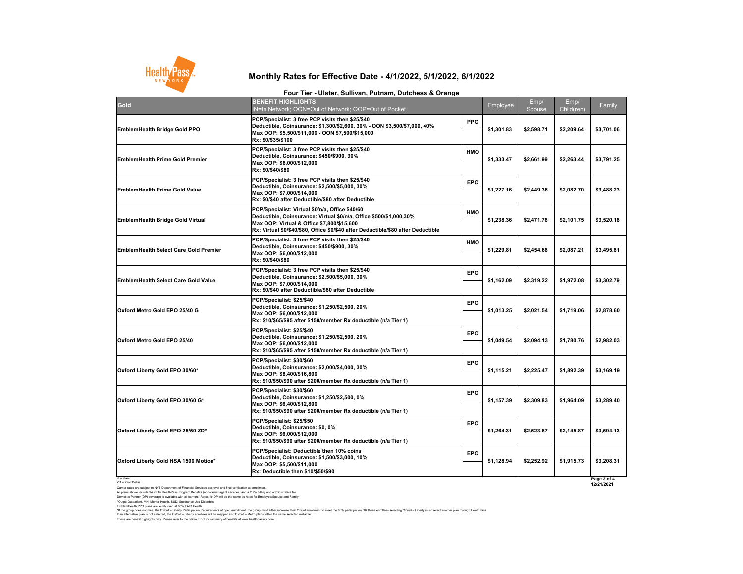Carrier rates are subject to NYS Department of Financial Services approval and final verification at enrollment. All plans above include \$4.95 for HealthPass Program Benefits (non-carrier/agent services) and a 2.9% billing and administrative fee. Domestic Partner (DP) coverage is available with all carriers. Rates for DP will be the same as rates for Employee/Spouse and Family. ^Outpt: Outpatient, MH: Mental Health, SUD: Substance Use Disorders EmblemHealth PPO plans are reimbursed at 80% FAIR Health.



# **Monthly Rates for Effective Date - 4/1/2022, 5/1/2022, 6/1/2022**

#### **Four Tier - Ulster, Sullivan, Putnam, Dutchess & Orange**

These are benefit highlights only. Please refer to the official SBC for summary of benefits at www.healthpassny.com. \*If the group does not meet the Oxford - Liberty Participation Requirements at open enrollment: the group must either increase their Oxford enrollment to meet the 60% participation OR those enrollees selecting Oxford - Lib If an alternative plan is not selected, the Oxford – Liberty enrollees will be mapped into Oxford – Metro plans within the same selected metal tier.

|                                              | TVAL TICI - OISICI, OUINVAN, FUINANI, DUICHCSS & OTANGC                                                                                                                                                                                                  |            |            |                |                    |                           |
|----------------------------------------------|----------------------------------------------------------------------------------------------------------------------------------------------------------------------------------------------------------------------------------------------------------|------------|------------|----------------|--------------------|---------------------------|
| <b>Gold</b>                                  | <b>BENEFIT HIGHLIGHTS</b><br>IN=In Network; OON=Out of Network; OOP=Out of Pocket                                                                                                                                                                        |            | Employee   | Emp/<br>Spouse | Emp/<br>Child(ren) | Family                    |
| <b>EmblemHealth Bridge Gold PPO</b>          | PCP/Specialist: 3 free PCP visits then \$25/\$40<br>Deductible, Coinsurance: \$1,300/\$2,600, 30% - OON \$3,500/\$7,000, 40%<br>Max OOP: \$5,500/\$11,000 - OON \$7,500/\$15,000<br>Rx: \$0/\$35/\$100                                                   | <b>PPO</b> | \$1,301.83 | \$2,598.71     | \$2,209.64         | \$3,701.06                |
| <b>EmblemHealth Prime Gold Premier</b>       | PCP/Specialist: 3 free PCP visits then \$25/\$40<br>Deductible, Coinsurance: \$450/\$900, 30%<br>Max OOP: \$6,000/\$12,000<br>Rx: \$0/\$40/\$80                                                                                                          | <b>HMO</b> | \$1,333.47 | \$2,661.99     | \$2,263.44         | \$3,791.25                |
| <b>EmblemHealth Prime Gold Value</b>         | PCP/Specialist: 3 free PCP visits then \$25/\$40<br>Deductible, Coinsurance: \$2,500/\$5,000, 30%<br>Max OOP: \$7,000/\$14,000<br>Rx: \$0/\$40 after Deductible/\$80 after Deductible                                                                    | <b>EPO</b> | \$1,227.16 | \$2,449.36     | \$2,082.70         | \$3,488.23                |
| <b>EmblemHealth Bridge Gold Virtual</b>      | PCP/Specialist: Virtual \$0/n/a, Office \$40/60<br>Deductible, Coinsurance: Virtual \$0/n/a, Office \$500/\$1,000,30%<br>Max OOP: Virtual & Office \$7,800/\$15,600<br>Rx: Virtual \$0/\$40/\$80, Office \$0/\$40 after Deductible/\$80 after Deductible | <b>HMO</b> | \$1,238.36 | \$2,471.78     | \$2,101.75         | \$3,520.18                |
| <b>EmblemHealth Select Care Gold Premier</b> | PCP/Specialist: 3 free PCP visits then \$25/\$40<br>Deductible, Coinsurance: \$450/\$900, 30%<br>Max OOP: \$6,000/\$12,000<br>Rx: \$0/\$40/\$80                                                                                                          | <b>HMO</b> | \$1,229.81 | \$2,454.68     | \$2,087.21         | \$3,495.81                |
| <b>EmblemHealth Select Care Gold Value</b>   | PCP/Specialist: 3 free PCP visits then \$25/\$40<br>Deductible, Coinsurance: \$2,500/\$5,000, 30%<br>Max OOP: \$7,000/\$14,000<br>Rx: \$0/\$40 after Deductible/\$80 after Deductible                                                                    | <b>EPO</b> | \$1,162.09 | \$2,319.22     | \$1,972.08         | \$3,302.79                |
| Oxford Metro Gold EPO 25/40 G                | PCP/Specialist: \$25/\$40<br>Deductible, Coinsurance: \$1,250/\$2,500, 20%<br>Max OOP: \$6,000/\$12,000<br>Rx: \$10/\$65/\$95 after \$150/member Rx deductible (n/a Tier 1)                                                                              | <b>EPO</b> | \$1,013.25 | \$2,021.54     | \$1,719.06         | \$2,878.60                |
| Oxford Metro Gold EPO 25/40                  | PCP/Specialist: \$25/\$40<br> Deductible, Coinsurance: \$1,250/\$2,500, 20%<br>Max OOP: \$6,000/\$12,000 <br>Rx: \$10/\$65/\$95 after \$150/member Rx deductible (n/a Tier 1)                                                                            | <b>EPO</b> | \$1,049.54 | \$2,094.13     | \$1,780.76         | \$2,982.03                |
| Oxford Liberty Gold EPO 30/60*               | PCP/Specialist: \$30/\$60<br>Deductible, Coinsurance: \$2,000/\$4,000, 30%<br>Max OOP: \$8,400/\$16,800 M<br>Rx: \$10/\$50/\$90 after \$200/member Rx deductible (n/a Tier 1)                                                                            | <b>EPO</b> | \$1,115.21 | \$2,225.47     | \$1,892.39         | \$3,169.19                |
| Oxford Liberty Gold EPO 30/60 G*             | PCP/Specialist: \$30/\$60<br>Deductible, Coinsurance: \$1,250/\$2,500, 0%<br>Max OOP: \$6,400/\$12,800<br>Rx: \$10/\$50/\$90 after \$200/member Rx deductible (n/a Tier 1)                                                                               | <b>EPO</b> | \$1,157.39 | \$2,309.83     | \$1,964.09         | \$3,289.40                |
| Oxford Liberty Gold EPO 25/50 ZD*            | PCP/Specialist: \$25/\$50<br>Deductible, Coinsurance: \$0, 0%<br>Max OOP: \$6,000/\$12,000 <br>Rx: \$10/\$50/\$90 after \$200/member Rx deductible (n/a Tier 1)                                                                                          | <b>EPO</b> | \$1,264.31 | \$2,523.67     | \$2,145.87         | \$3,594.13                |
| <b>Oxford Liberty Gold HSA 1500 Motion*</b>  | <b>PCP/Specialist: Deductible then 10% coins</b><br>Deductible, Coinsurance: \$1,500/\$3,000, 10%<br>Max OOP: \$5,500/\$11,000<br>Rx: Deductible then \$10/\$50/\$90                                                                                     | <b>EPO</b> | \$1,128.94 | \$2,252.92     | \$1,915.73         | \$3,208.31                |
| $G =$ Gated<br>ZD = Zero Dollar              |                                                                                                                                                                                                                                                          |            |            |                |                    | Page 2 of 4<br>12/21/2021 |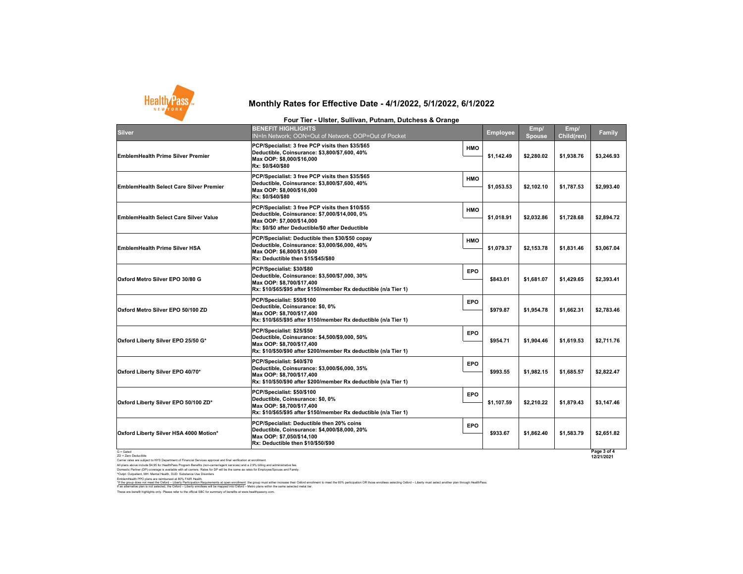G = Gated ZD = Zero Deductible

Carrier rates are subject to NYS Department of Financial Services approval and final verification at enrollment.

All plans above include \$4.95 for HealthPass Program Benefits (non-carrier/agent services) and a 2.9% billing and administrative fee. Domestic Partner (DP) coverage is available with all carriers. Rates for DP will be the same as rates for Employee/Spouse and Family. ^Outpt: Outpatient, MH: Mental Health, SUD: Substance Use Disorders

EmblemHealth PPO plans are reimbursed at 80% FAIR Health.

**Page 3 of 4 12/21/2021**

These are benefit highlights only. Please refer to the official SBC for summary of benefits at www.healthpassny.com. \*<u>If the group does not meet the Oxford – Liberty Participation Requirements at open enrollment</u>: the group must either increase their Oxford enrollment to meet the 60% participation OR those enrollees selecting Oxford – L If an alternative plan is not selected, the Oxford – Liberty enrollees will be mapped into Oxford – Metro plans within the same selected metal tier.

|                                                | i var tivi - Oloton, Odintan, Fathani, Datonooo G Olango                                                                                                                            |            |                 |                       |                           |                          |
|------------------------------------------------|-------------------------------------------------------------------------------------------------------------------------------------------------------------------------------------|------------|-----------------|-----------------------|---------------------------|--------------------------|
| <b>Silver</b>                                  | <b>BENEFIT HIGHLIGHTS</b><br>IN=In Network; OON=Out of Network; OOP=Out of Pocket                                                                                                   |            | <b>Employee</b> | Emp/<br><b>Spouse</b> | Emp/<br><b>Child(ren)</b> | <b>Family</b>            |
| <b>EmblemHealth Prime Silver Premier</b>       | PCP/Specialist: 3 free PCP visits then \$35/\$65<br>Deductible, Coinsurance: \$3,800/\$7,600, 40%<br>Max OOP: \$8,000/\$16,000<br><b>Rx: \$0/\$40/\$80</b>                          | <b>HMO</b> | \$1,142.49      | \$2,280.02            | \$1,938.76                | \$3,246.93               |
| <b>EmblemHealth Select Care Silver Premier</b> | PCP/Specialist: 3 free PCP visits then \$35/\$65<br>Deductible, Coinsurance: \$3,800/\$7,600, 40%<br>Max OOP: \$8,000/\$16,000<br><b>Rx: \$0/\$40/\$80</b>                          | <b>HMO</b> | \$1,053.53      | \$2,102.10            | \$1,787.53                | \$2,993.40               |
| <b>EmblemHealth Select Care Silver Value</b>   | PCP/Specialist: 3 free PCP visits then \$10/\$55<br>Deductible, Coinsurance: \$7,000/\$14,000, 0%<br>Max OOP: \$7,000/\$14,000<br>Rx: \$0/\$0 after Deductible/\$0 after Deductible | <b>HMO</b> | \$1,018.91      | \$2,032.86            | \$1,728.68                | \$2,894.72               |
| <b>EmblemHealth Prime Silver HSA</b>           | PCP/Specialist: Deductible then \$30/\$50 copay<br>Deductible, Coinsurance: \$3,000/\$6,000, 40%<br>Max OOP: \$6,800/\$13,600<br>Rx: Deductible then \$15/\$45/\$80                 | <b>HMO</b> | \$1,079.37      | \$2,153.78            | \$1,831.46                | \$3,067.04               |
| Oxford Metro Silver EPO 30/80 G                | PCP/Specialist: \$30/\$80<br>Deductible, Coinsurance: \$3,500/\$7,000, 30%<br>Max OOP: \$8,700/\$17,400<br>Rx: \$10/\$65/\$95 after \$150/member Rx deductible (n/a Tier 1)         | <b>EPO</b> | \$843.01        | \$1,681.07            | \$1,429.65                | \$2,393.41               |
| Oxford Metro Silver EPO 50/100 ZD              | PCP/Specialist: \$50/\$100<br>Deductible, Coinsurance: \$0, 0%<br>Max OOP: \$8,700/\$17,400<br>Rx: \$10/\$65/\$95 after \$150/member Rx deductible (n/a Tier 1)                     | <b>EPO</b> | \$979.87        | \$1,954.78            | \$1,662.31                | \$2,783.46               |
| Oxford Liberty Silver EPO 25/50 G*             | PCP/Specialist: \$25/\$50<br>Deductible, Coinsurance: \$4,500/\$9,000, 50%<br>Max OOP: \$8,700/\$17,400<br>Rx: \$10/\$50/\$90 after \$200/member Rx deductible (n/a Tier 1)         | <b>EPO</b> | \$954.71        | \$1,904.46            | \$1,619.53                | \$2,711.76               |
| Oxford Liberty Silver EPO 40/70*               | PCP/Specialist: \$40/\$70<br>Deductible, Coinsurance: \$3,000/\$6,000, 35%<br>Max OOP: \$8,700/\$17,400<br>Rx: \$10/\$50/\$90 after \$200/member Rx deductible (n/a Tier 1)         | <b>EPO</b> | \$993.55        | \$1,982.15            | \$1,685.57                | \$2,822.47               |
| Oxford Liberty Silver EPO 50/100 ZD*           | PCP/Specialist: \$50/\$100<br>Deductible, Coinsurance: \$0, 0%<br>Max OOP: \$8,700/\$17,400<br>Rx: \$10/\$65/\$95 after \$150/member Rx deductible (n/a Tier 1)                     | <b>EPO</b> | \$1,107.59      | \$2,210.22            | \$1,879.43                | \$3,147.46               |
| Oxford Liberty Silver HSA 4000 Motion*         | <b>PCP/Specialist: Deductible then 20% coins</b><br>Deductible, Coinsurance: \$4,000/\$8,000, 20%<br>Max OOP: \$7,050/\$14,100<br>Rx: Deductible then \$10/\$50/\$90                | <b>EPO</b> | \$933.67        | \$1,862.40            | \$1,583.79                | \$2,651.82               |
| $C - C$ otod                                   |                                                                                                                                                                                     |            |                 |                       |                           | $P$ ang $3$ of $\Lambda$ |



# **Monthly Rates for Effective Date - 4/1/2022, 5/1/2022, 6/1/2022**

#### **Four Tier - Ulster, Sullivan, Putnam, Dutchess & Orange**